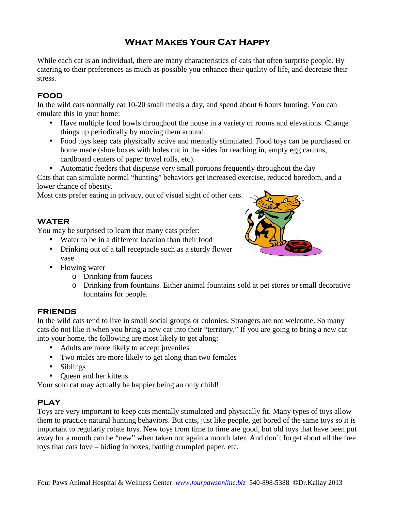# What Makes Your Cat Happy

While each cat is an individual, there are many characteristics of cats that often surprise people. By catering to their preferences as much as possible you enhance their quality of life, and decrease their stress.

# FOOD

In the wild cats normally eat 10-20 small meals a day, and spend about 6 hours hunting. You can emulate this in your home:

- Have multiple food bowls throughout the house in a variety of rooms and elevations. Change things up periodically by moving them around.
- Food toys keep cats physically active and mentally stimulated. Food toys can be purchased or home made (shoe boxes with holes cut in the sides for reaching in, empty egg cartons, cardboard centers of paper towel rolls, etc).
- Automatic feeders that dispense very small portions frequently throughout the day

Cats that can simulate normal "hunting" behaviors get increased exercise, reduced boredom, and a lower chance of obesity.

Most cats prefer eating in privacy, out of visual sight of other cats.

## WATER

You may be surprised to learn that many cats prefer:

- Water to be in a different location than their food
- Drinking out of a tall receptacle such as a sturdy flower vase



- Flowing water
	- o Drinking from faucets
	- o Drinking from fountains. Either animal fountains sold at pet stores or small decorative fountains for people.

## **FRIENDS**

In the wild cats tend to live in small social groups or colonies. Strangers are not welcome. So many cats do not like it when you bring a new cat into their "territory." If you are going to bring a new cat into your home, the following are most likely to get along:

- Adults are more likely to accept juveniles
- Two males are more likely to get along than two females
- Siblings
- Oueen and her kittens

Your solo cat may actually be happier being an only child!

# PLAY

Toys are very important to keep cats mentally stimulated and physically fit. Many types of toys allow them to practice natural hunting behaviors. But cats, just like people, get bored of the same toys so it is important to regularly rotate toys. New toys from time to time are good, but old toys that have been put away for a month can be "new" when taken out again a month later. And don't forget about all the free toys that cats love – hiding in boxes, batting crumpled paper, etc.